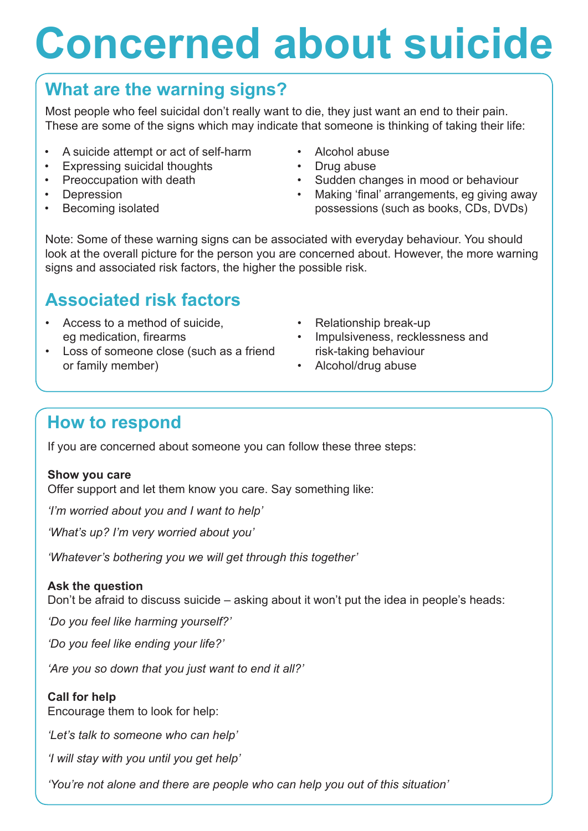# **Concerned about suicide**

## **What are the warning signs?**

Most people who feel suicidal don't really want to die, they just want an end to their pain. These are some of the signs which may indicate that someone is thinking of taking their life:

- A suicide attempt or act of self-harm
- Expressing suicidal thoughts
- Preoccupation with death
- Depression
- Becoming isolated
- Alcohol abuse
- Drug abuse
- Sudden changes in mood or behaviour
- Making 'final' arrangements, eg giving away possessions (such as books, CDs, DVDs)

Note: Some of these warning signs can be associated with everyday behaviour. You should look at the overall picture for the person you are concerned about. However, the more warning signs and associated risk factors, the higher the possible risk.

## **Associated risk factors**

- Access to a method of suicide, eg medication, firearms
- Loss of someone close (such as a friend or family member)
- Relationship break-up
- Impulsiveness, recklessness and risk-taking behaviour
- Alcohol/drug abuse

### **How to respond**

If you are concerned about someone you can follow these three steps:

#### **Show you care**

Offer support and let them know you care. Say something like:

*'I'm worried about you and I want to help'*

*'What's up? I'm very worried about you'*

*'Whatever's bothering you we will get through this together'*

#### **Ask the question**

Don't be afraid to discuss suicide – asking about it won't put the idea in people's heads:

*'Do you feel like harming yourself?'*

*'Do you feel like ending your life?'*

*'Are you so down that you just want to end it all?'*

#### **Call for help**

Encourage them to look for help:

*'Let's talk to someone who can help'*

*'I will stay with you until you get help'*

*'You're not alone and there are people who can help you out of this situation'*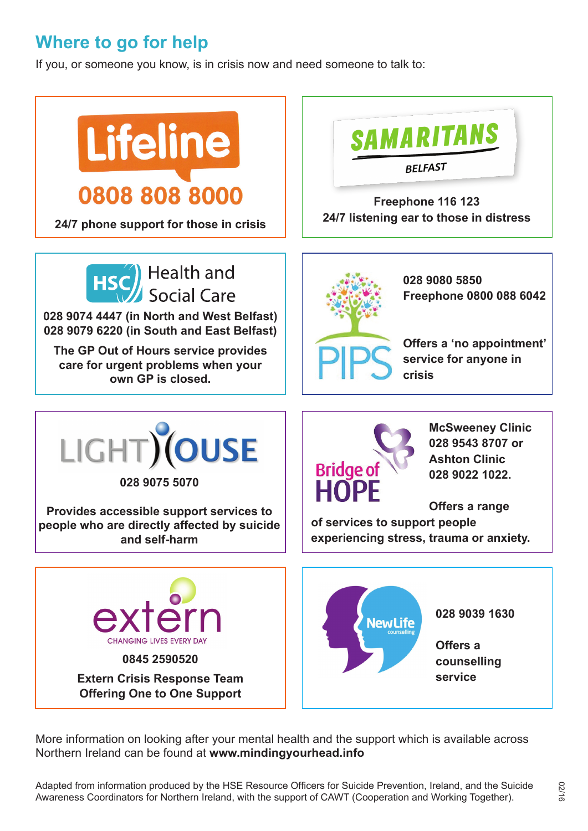## **Where to go for help**

If you, or someone you know, is in crisis now and need someone to talk to:



More information on looking after your mental health and the support which is available across Northern Ireland can be found at **www.mindingyourhead.info**

Adapted from information produced by the HSE Resource Officers for Suicide Prevention, Ireland, and the Suicide Awareness Coordinators for Northern Ireland, with the support of CAWT (Cooperation and Working Together).